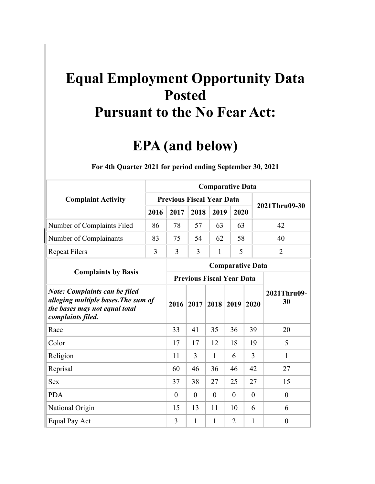## **Equal Employment Opportunity Data Posted Pursuant to the No Fear Act:**

## **EPA (and below)**

|                                                                                                                                   |      | <b>Comparative Data</b>          |          |              |                |          |                   |  |  |  |  |  |  |
|-----------------------------------------------------------------------------------------------------------------------------------|------|----------------------------------|----------|--------------|----------------|----------|-------------------|--|--|--|--|--|--|
| <b>Complaint Activity</b>                                                                                                         |      | <b>Previous Fiscal Year Data</b> |          |              |                |          | 2021Thru09-30     |  |  |  |  |  |  |
|                                                                                                                                   | 2016 | 2017                             | 2018     | 2019         | 2020           |          |                   |  |  |  |  |  |  |
| Number of Complaints Filed                                                                                                        | 86   | 78                               | 57       | 63           | 63             |          | 42                |  |  |  |  |  |  |
| Number of Complainants                                                                                                            | 83   | 75                               | 54       | 62           | 58             |          | 40                |  |  |  |  |  |  |
| <b>Repeat Filers</b>                                                                                                              | 3    | $\overline{3}$                   | 3        | 1            | 5              |          | $\overline{2}$    |  |  |  |  |  |  |
|                                                                                                                                   |      | <b>Comparative Data</b>          |          |              |                |          |                   |  |  |  |  |  |  |
| <b>Complaints by Basis</b>                                                                                                        |      | <b>Previous Fiscal Year Data</b> |          |              |                |          |                   |  |  |  |  |  |  |
| <b>Note: Complaints can be filed</b><br>alleging multiple bases. The sum of<br>the bases may not equal total<br>complaints filed. |      | 2016                             | 2017     | 2018         | 2019           | 2020     | 2021Thru09-<br>30 |  |  |  |  |  |  |
| Race                                                                                                                              |      | 33                               | 41       | 35           | 36             | 39       | 20                |  |  |  |  |  |  |
| Color                                                                                                                             |      | 17                               | 17       | 12           | 18             | 19       | 5                 |  |  |  |  |  |  |
| Religion                                                                                                                          |      | 11                               | 3        | $\mathbf{1}$ | 6              | 3        | 1                 |  |  |  |  |  |  |
| Reprisal                                                                                                                          |      | 60                               | 46       | 36           | 46             | 42       | 27                |  |  |  |  |  |  |
| <b>Sex</b>                                                                                                                        |      | 37                               | 38       | 27           | 25             | 27       | 15                |  |  |  |  |  |  |
| <b>PDA</b>                                                                                                                        |      | $\theta$                         | $\theta$ | $\theta$     | $\theta$       | $\theta$ | $\theta$          |  |  |  |  |  |  |
| National Origin                                                                                                                   | 15   | 13                               | 11       | 10           | 6              | 6        |                   |  |  |  |  |  |  |
| Equal Pay Act                                                                                                                     |      | 3                                | 1        | $\mathbf{1}$ | $\overline{2}$ | 1        | $\overline{0}$    |  |  |  |  |  |  |

## **For 4th Quarter 2021 for period ending September 30, 2021**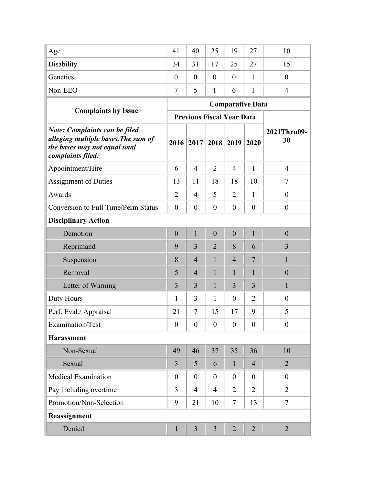| Age                                                                                                                               | 41               | 40                               | 25               | 19                      | 27             | 10                |
|-----------------------------------------------------------------------------------------------------------------------------------|------------------|----------------------------------|------------------|-------------------------|----------------|-------------------|
| Disability                                                                                                                        | 34               | 31                               | 17               | 25                      | 27             | 15                |
| Genetics                                                                                                                          | $\theta$         | $\theta$                         | $\theta$         | $\theta$                | 1              | $\overline{0}$    |
| Non-EEO                                                                                                                           | $\tau$           | 5                                | $\mathbf{1}$     | 6                       | $\mathbf{1}$   | $\overline{4}$    |
|                                                                                                                                   |                  |                                  |                  | <b>Comparative Data</b> |                |                   |
| <b>Complaints by Issue</b>                                                                                                        |                  | <b>Previous Fiscal Year Data</b> |                  |                         |                |                   |
| <b>Note: Complaints can be filed</b><br>alleging multiple bases. The sum of<br>the bases may not equal total<br>complaints filed. | 2016             | 2017                             | 2018             | 2019                    | 2020           | 2021Thru09-<br>30 |
| Appointment/Hire                                                                                                                  | 6                | $\overline{4}$                   | $\overline{2}$   | 4                       | $\mathbf{1}$   | $\overline{4}$    |
| <b>Assignment of Duties</b>                                                                                                       | 13               | 11                               | 18               | 18                      | 10             | 7                 |
| Awards                                                                                                                            | $\overline{2}$   | 4                                | 5                | $\overline{2}$          | $\mathbf{1}$   | $\overline{0}$    |
| <b>Conversion to Full Time/Perm Status</b>                                                                                        | $\overline{0}$   | $\boldsymbol{0}$                 | $\overline{0}$   | $\theta$                | $\theta$       | $\boldsymbol{0}$  |
| <b>Disciplinary Action</b>                                                                                                        |                  |                                  |                  |                         |                |                   |
| Demotion                                                                                                                          | $\boldsymbol{0}$ | $\mathbf{1}$                     | $\boldsymbol{0}$ | $\boldsymbol{0}$        | $\mathbf{1}$   | $\boldsymbol{0}$  |
| Reprimand                                                                                                                         | 9                | 3                                | $\overline{2}$   | 8                       | 6              | 3                 |
| Suspension                                                                                                                        | 8                | $\overline{4}$                   | $\mathbf{1}$     | $\overline{4}$          | 7              | $\mathbf{1}$      |
| Removal                                                                                                                           | 5                | $\overline{4}$                   | $\mathbf{1}$     | $\mathbf{1}$            | $\mathbf{1}$   | $\boldsymbol{0}$  |
| Letter of Warning                                                                                                                 | 3                | 3                                | $\mathbf{1}$     | 3                       | 3              | $\mathbf{1}$      |
| Duty Hours                                                                                                                        | 1                | 3                                | $\mathbf{1}$     | $\theta$                | $\overline{2}$ | $\boldsymbol{0}$  |
| Perf. Eval./ Appraisal                                                                                                            | 21               | 7                                | 15               | 17                      | 9              | 5                 |
| Examination/Test                                                                                                                  | $\overline{0}$   | $\boldsymbol{0}$                 | $\overline{0}$   | $\overline{0}$          | $\theta$       | $\boldsymbol{0}$  |
| <b>Harassment</b>                                                                                                                 |                  |                                  |                  |                         |                |                   |
| Non-Sexual                                                                                                                        | 49               | 46                               | 37               | 35                      | 36             | 10                |
| Sexual                                                                                                                            | $\overline{3}$   | 5                                | 6                | $\mathbf{1}$            | $\overline{4}$ | $\overline{2}$    |
| <b>Medical Examination</b>                                                                                                        | $\overline{0}$   | $\overline{0}$                   | $\theta$         | $\overline{0}$          | $\overline{0}$ | $\boldsymbol{0}$  |
| Pay including overtime                                                                                                            | $\overline{3}$   | $\overline{4}$                   | $\overline{4}$   | $\overline{2}$          | 2              | $\overline{2}$    |
| Promotion/Non-Selection                                                                                                           | 9                | 21                               | 10               | $\tau$                  | 13             | $\tau$            |
| Reassignment                                                                                                                      |                  |                                  |                  |                         |                |                   |
| Denied                                                                                                                            | $\mathbf{1}$     | 3                                | 3                | $\overline{2}$          | $\overline{2}$ | $\overline{2}$    |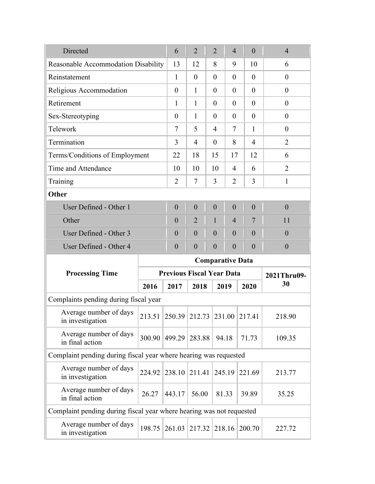| Directed                                                             | 6                              | $\overline{2}$              | $\overline{2}$                                  | $\overline{4}$ | $\boldsymbol{0}$ |                | $\overline{4}$ |                  |  |  |  |  |  |
|----------------------------------------------------------------------|--------------------------------|-----------------------------|-------------------------------------------------|----------------|------------------|----------------|----------------|------------------|--|--|--|--|--|
| Reasonable Accommodation Disability                                  |                                | 13                          | 12                                              | 8              | 9                | 10             |                | 6                |  |  |  |  |  |
| Reinstatement                                                        |                                | 1                           | $\boldsymbol{0}$                                | $\theta$       | $\theta$         | $\theta$       |                | $\overline{0}$   |  |  |  |  |  |
| Religious Accommodation                                              |                                | $\theta$                    | $\mathbf{1}$                                    | $\theta$       | $\overline{0}$   | $\overline{0}$ |                | $\boldsymbol{0}$ |  |  |  |  |  |
| Retirement                                                           |                                |                             |                                                 |                |                  | $\overline{0}$ |                | $\boldsymbol{0}$ |  |  |  |  |  |
| Sex-Stereotyping                                                     |                                | $\boldsymbol{0}$            | 1                                               | $\overline{0}$ | $\overline{0}$   | $\overline{0}$ |                | $\boldsymbol{0}$ |  |  |  |  |  |
| Telework                                                             |                                | 7                           | 5                                               | $\overline{4}$ | 7                | $\mathbf{1}$   |                | $\theta$         |  |  |  |  |  |
| Termination                                                          |                                |                             |                                                 |                | 8                | $\overline{4}$ |                | $\overline{2}$   |  |  |  |  |  |
|                                                                      | Terms/Conditions of Employment |                             |                                                 |                | 17               | 12             |                | 6                |  |  |  |  |  |
| Time and Attendance                                                  |                                | 10                          | 10                                              | 10             | $\overline{4}$   | 6              |                | $\overline{2}$   |  |  |  |  |  |
| Training                                                             |                                | $\overline{2}$              | $\tau$                                          | 3              | $\overline{2}$   | 3              |                | $\mathbf{1}$     |  |  |  |  |  |
| Other                                                                |                                |                             |                                                 |                |                  |                |                |                  |  |  |  |  |  |
| User Defined - Other 1                                               |                                | $\overline{0}$              | $\boldsymbol{0}$                                | $\overline{0}$ | $\overline{0}$   | $\overline{0}$ |                | $\overline{0}$   |  |  |  |  |  |
| Other                                                                |                                | $\overline{0}$              | $\overline{2}$                                  | $\mathbf{1}$   | $\overline{4}$   | 7              |                | 11               |  |  |  |  |  |
| User Defined - Other 3                                               |                                | $\boldsymbol{0}$            | $\boldsymbol{0}$                                | $\overline{0}$ | $\overline{0}$   | $\overline{0}$ |                | $\boldsymbol{0}$ |  |  |  |  |  |
| User Defined - Other 4                                               |                                | $\theta$                    | $\overline{0}$                                  | $\overline{0}$ | $\theta$         | $\overline{0}$ |                | $\boldsymbol{0}$ |  |  |  |  |  |
|                                                                      |                                |                             | <b>Comparative Data</b>                         |                |                  |                |                |                  |  |  |  |  |  |
| <b>Processing Time</b>                                               |                                |                             | <b>Previous Fiscal Year Data</b><br>2021Thru09- |                |                  |                |                |                  |  |  |  |  |  |
|                                                                      | 2016                           | 2017                        | 2018                                            |                | 2019             | 2020           |                | 30               |  |  |  |  |  |
| Complaints pending during fiscal year                                |                                |                             |                                                 |                |                  |                |                |                  |  |  |  |  |  |
| Average number of days<br>in investigation                           | 213.51                         | 250.39 212.73 231.00 217.41 |                                                 |                |                  |                |                | 218.90           |  |  |  |  |  |
| Average number of days<br>in final action                            | 300.90                         | 499.29                      | 283.88                                          |                | 94.18            | 71.73          |                | 109.35           |  |  |  |  |  |
| Complaint pending during fiscal year where hearing was requested     |                                |                             |                                                 |                |                  |                |                |                  |  |  |  |  |  |
| Average number of days<br>in investigation                           | 224.92                         | 238.10                      | 211.41                                          |                | 245.19           | 221.69         |                | 213.77           |  |  |  |  |  |
| Average number of days<br>in final action                            | 26.27                          | 443.17                      | 56.00                                           |                | 81.33            | 39.89          |                | 35.25            |  |  |  |  |  |
| Complaint pending during fiscal year where hearing was not requested |                                |                             |                                                 |                |                  |                |                |                  |  |  |  |  |  |
| Average number of days<br>in investigation                           | 198.75                         | 261.03                      | 217.32                                          |                | 218.16           |                | 200.70         | 227.72           |  |  |  |  |  |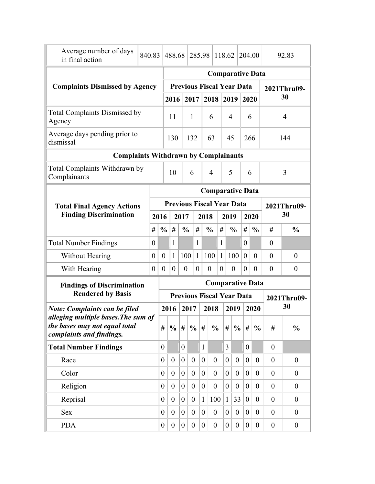| Average number of days<br>in final action                            | 840.83           |                         | 488.68                           |                |                  |              | 285.98           |                                  | 118.62           |                  | 204.00         |                  | 92.83            |                  |  |
|----------------------------------------------------------------------|------------------|-------------------------|----------------------------------|----------------|------------------|--------------|------------------|----------------------------------|------------------|------------------|----------------|------------------|------------------|------------------|--|
|                                                                      |                  |                         |                                  |                |                  |              |                  | <b>Comparative Data</b>          |                  |                  |                |                  |                  |                  |  |
| <b>Complaints Dismissed by Agency</b>                                |                  |                         |                                  |                |                  |              |                  | <b>Previous Fiscal Year Data</b> |                  |                  |                |                  | 2021Thru09-      |                  |  |
|                                                                      |                  |                         | 2016                             |                | 2017             |              |                  | 2018                             |                  | 2019             | 2020           |                  |                  | 30               |  |
| <b>Total Complaints Dismissed by</b><br>Agency                       |                  |                         | 11                               |                | $\mathbf{1}$     |              |                  | 6                                | $\overline{4}$   |                  | 6              |                  | $\overline{4}$   |                  |  |
| Average days pending prior to<br>dismissal                           |                  |                         | 130                              |                |                  | 132<br>63    |                  |                                  | 45               |                  | 266            |                  | 144              |                  |  |
| <b>Complaints Withdrawn by Complainants</b>                          |                  |                         |                                  |                |                  |              |                  |                                  |                  |                  |                |                  |                  |                  |  |
| Total Complaints Withdrawn by<br>Complainants                        |                  |                         | 6<br>10                          |                |                  |              | $\overline{4}$   |                                  |                  | 5                | 6              |                  |                  | 3                |  |
|                                                                      |                  |                         |                                  |                |                  |              |                  | <b>Comparative Data</b>          |                  |                  |                |                  |                  |                  |  |
| <b>Total Final Agency Actions</b>                                    |                  |                         | <b>Previous Fiscal Year Data</b> |                |                  |              |                  |                                  |                  |                  |                |                  | 2021Thru09-      |                  |  |
| <b>Finding Discrimination</b>                                        |                  | 2016                    |                                  | 2017           |                  |              |                  | 2018                             |                  | 2019             | 2020           |                  |                  | 30               |  |
|                                                                      |                  | #<br>$\frac{0}{0}$      | #                                |                | $\frac{0}{0}$    | #            |                  | #<br>$\frac{0}{0}$               |                  | $\frac{0}{0}$    | #              | $\frac{0}{0}$    | #                | $\frac{0}{0}$    |  |
| <b>Total Number Findings</b>                                         | $\boldsymbol{0}$ |                         | 1                                |                |                  | $\mathbf{1}$ |                  | 1                                |                  |                  | $\theta$       |                  | $\boldsymbol{0}$ |                  |  |
| Without Hearing                                                      | $\boldsymbol{0}$ | $\boldsymbol{0}$        | $\mathbf{1}$                     |                | 100              | $\mathbf{1}$ |                  | 100<br>$\mathbf{1}$              |                  | 100              | $\mathbf{0}$   | $\theta$         | $\theta$         | $\boldsymbol{0}$ |  |
| With Hearing                                                         | $\theta$         | $\boldsymbol{0}$        | $\overline{0}$                   |                | $\boldsymbol{0}$ | $\theta$     | $\boldsymbol{0}$ | $\overline{0}$                   |                  | $\theta$         | $\theta$       | $\theta$         | $\boldsymbol{0}$ | $\boldsymbol{0}$ |  |
| <b>Findings of Discrimination</b>                                    |                  | <b>Comparative Data</b> |                                  |                |                  |              |                  |                                  |                  |                  |                |                  |                  |                  |  |
| <b>Rendered by Basis</b>                                             |                  |                         | <b>Previous Fiscal Year Data</b> |                |                  |              |                  |                                  |                  |                  |                |                  | 2021Thru09-      |                  |  |
| <b>Note: Complaints can be filed</b>                                 |                  |                         | 2016                             |                | 2017             |              |                  | 2018                             |                  | 2019             |                | 2020             |                  | 30               |  |
| alleging multiple bases. The sum of<br>the bases may not equal total |                  | #                       | $\%$                             | #              | $\frac{0}{0}$    |              | #                | $\frac{0}{0}$                    | #                | $\frac{0}{0}$    | #              | $\frac{0}{0}$    | #                | $\frac{0}{0}$    |  |
| complaints and findings.                                             |                  |                         |                                  |                |                  |              |                  |                                  |                  |                  |                |                  |                  |                  |  |
| <b>Total Number Findings</b>                                         |                  | $\overline{0}$          |                                  | $\overline{0}$ |                  |              | $\mathbf{1}$     |                                  | $\overline{3}$   |                  | $\overline{0}$ |                  | $\overline{0}$   |                  |  |
| Race                                                                 |                  | $\overline{0}$          | $\boldsymbol{0}$                 | $\overline{0}$ | $\overline{0}$   |              | $\theta$         | $\boldsymbol{0}$                 | $\overline{0}$   | $\boldsymbol{0}$ | $\theta$       | $\boldsymbol{0}$ | $\theta$         | $\boldsymbol{0}$ |  |
| Color                                                                |                  | $\overline{0}$          | $\overline{0}$                   | $\overline{0}$ | $\boldsymbol{0}$ |              | $\overline{0}$   | $\boldsymbol{0}$                 | $\theta$         | $\theta$         | $\overline{0}$ | $\overline{0}$   | $\overline{0}$   | $\overline{0}$   |  |
| Religion                                                             |                  | $\overline{0}$          | $\theta$                         | $\overline{0}$ | $\theta$         |              | $\overline{0}$   | $\boldsymbol{0}$                 | $\theta$         | $\theta$         | $\theta$       | $\overline{0}$   | $\overline{0}$   | $\theta$         |  |
| Reprisal                                                             |                  | $\overline{0}$          | $\theta$                         | $\overline{0}$ | $\overline{0}$   |              | $\mathbf{1}$     | 100                              | $\mathbf{1}$     | 33               | $\overline{0}$ | $\overline{0}$   | $\overline{0}$   | $\theta$         |  |
| <b>Sex</b>                                                           |                  | $\overline{0}$          | $\overline{0}$                   | $\overline{0}$ | $\overline{0}$   |              | $\theta$         | $\boldsymbol{0}$                 | $\overline{0}$   | $\mathbf{0}$     | $\overline{0}$ | $\boldsymbol{0}$ | $\overline{0}$   | $\theta$         |  |
| <b>PDA</b>                                                           |                  | 0                       | $\overline{0}$                   | $\overline{0}$ | $\boldsymbol{0}$ |              | $\boldsymbol{0}$ | $\boldsymbol{0}$                 | $\boldsymbol{0}$ | $\boldsymbol{0}$ | $\overline{0}$ | $\boldsymbol{0}$ | $\boldsymbol{0}$ | $\boldsymbol{0}$ |  |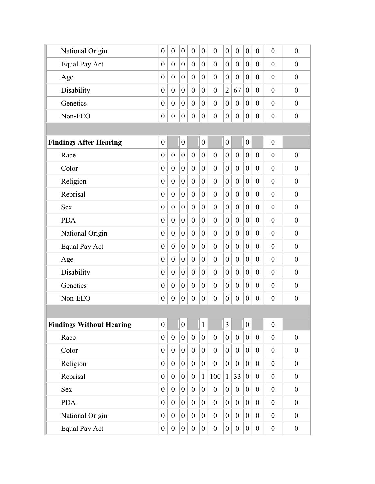| $\overline{0}$   | $\overline{0}$   | $\boldsymbol{0}$ | $\overline{0}$   | $\overline{0}$   | $\overline{0}$   | $\boldsymbol{0}$ | $\overline{0}$   | $\boldsymbol{0}$ | $\boldsymbol{0}$ | $\overline{0}$   | $\overline{0}$   |
|------------------|------------------|------------------|------------------|------------------|------------------|------------------|------------------|------------------|------------------|------------------|------------------|
| $\boldsymbol{0}$ | $\theta$         | $\overline{0}$   | $\mathbf{0}$     | $\overline{0}$   | $\overline{0}$   | $\theta$         | $\overline{0}$   | $\overline{0}$   | $\overline{0}$   | $\overline{0}$   | $\boldsymbol{0}$ |
| $\overline{0}$   | $\theta$         | $\overline{0}$   | $\overline{0}$   | $\overline{0}$   | $\overline{0}$   | $\boldsymbol{0}$ | $\overline{0}$   | $\overline{0}$   | $\theta$         | $\overline{0}$   | $\overline{0}$   |
| $\theta$         | $\overline{0}$   | $\overline{0}$   | $\overline{0}$   | $\overline{0}$   | $\boldsymbol{0}$ | $\overline{2}$   | 67               | $\theta$         | $\overline{0}$   | $\overline{0}$   | $\theta$         |
| $\overline{0}$   | $\overline{0}$   | $\overline{0}$   | $\overline{0}$   | $\overline{0}$   | $\boldsymbol{0}$ | $\boldsymbol{0}$ | $\overline{0}$   | $\overline{0}$   | $\theta$         | $\overline{0}$   | $\theta$         |
| $\boldsymbol{0}$ | $\boldsymbol{0}$ | $\boldsymbol{0}$ | $\mathbf{0}$     | $\boldsymbol{0}$ | $\mathbf{0}$     | $\boldsymbol{0}$ | $\boldsymbol{0}$ | $\boldsymbol{0}$ | $\boldsymbol{0}$ | $\boldsymbol{0}$ | $\boldsymbol{0}$ |
|                  |                  |                  |                  |                  |                  |                  |                  |                  |                  |                  |                  |
| $\boldsymbol{0}$ |                  | $\boldsymbol{0}$ |                  | $\overline{0}$   |                  | $\boldsymbol{0}$ |                  | $\boldsymbol{0}$ |                  | $\boldsymbol{0}$ |                  |
| $\overline{0}$   | $\theta$         | $\overline{0}$   | $\theta$         | $\overline{0}$   | $\overline{0}$   | $\boldsymbol{0}$ | $\mathbf{0}$     | $\overline{0}$   | $\overline{0}$   | $\overline{0}$   | $\theta$         |
| $\overline{0}$   | $\overline{0}$   | $\theta$         | $\overline{0}$   | $\overline{0}$   | $\boldsymbol{0}$ | $\overline{0}$   | $\overline{0}$   | $\overline{0}$   | $\overline{0}$   | $\overline{0}$   | $\theta$         |
| $\overline{0}$   | $\overline{0}$   | $\overline{0}$   | $\overline{0}$   | $\overline{0}$   | $\overline{0}$   | $\theta$         | $\overline{0}$   | $\overline{0}$   | $\overline{0}$   | $\overline{0}$   | $\boldsymbol{0}$ |
| $\boldsymbol{0}$ | $\overline{0}$   | $\overline{0}$   | $\overline{0}$   | $\overline{0}$   | $\overline{0}$   | $\boldsymbol{0}$ | $\overline{0}$   | $\overline{0}$   | $\theta$         | $\overline{0}$   | $\overline{0}$   |
| $\theta$         | $\theta$         | $\overline{0}$   | $\mathbf{0}$     | $\theta$         | $\overline{0}$   | $\overline{0}$   | $\theta$         | $\overline{0}$   | $\overline{0}$   | $\overline{0}$   | $\mathbf{0}$     |
| $\boldsymbol{0}$ | $\overline{0}$   | $\overline{0}$   | $\overline{0}$   | $\overline{0}$   | $\boldsymbol{0}$ | $\boldsymbol{0}$ | $\overline{0}$   | $\overline{0}$   | $\boldsymbol{0}$ | $\overline{0}$   | $\overline{0}$   |
| $\boldsymbol{0}$ | $\overline{0}$   | $\overline{0}$   | $\overline{0}$   | $\overline{0}$   | $\boldsymbol{0}$ | $\boldsymbol{0}$ | $\overline{0}$   | $\overline{0}$   | $\theta$         | $\overline{0}$   | $\boldsymbol{0}$ |
| $\boldsymbol{0}$ | $\overline{0}$   | $\mathbf{0}$     | $\overline{0}$   | $\overline{0}$   | $\boldsymbol{0}$ | $\boldsymbol{0}$ | $\overline{0}$   | $\overline{0}$   | $\overline{0}$   | $\overline{0}$   | $\theta$         |
| $\overline{0}$   | $\overline{0}$   | $\theta$         | $\overline{0}$   | $\theta$         | $\overline{0}$   | $\theta$         | $\overline{0}$   | $\theta$         | $\overline{0}$   | $\overline{0}$   | $\theta$         |
| $\overline{0}$   | $\overline{0}$   | $\overline{0}$   | $\overline{0}$   | $\overline{0}$   | $\overline{0}$   | $\boldsymbol{0}$ | $\overline{0}$   | $\overline{0}$   | $\overline{0}$   | $\overline{0}$   | $\mathbf{0}$     |
| $\boldsymbol{0}$ | $\overline{0}$   | $\theta$         | $\overline{0}$   | $\overline{0}$   | $\boldsymbol{0}$ | $\boldsymbol{0}$ | $\overline{0}$   | $\overline{0}$   | $\boldsymbol{0}$ | $\overline{0}$   | $\overline{0}$   |
| $\boldsymbol{0}$ | $\boldsymbol{0}$ | $\boldsymbol{0}$ | $\boldsymbol{0}$ | $\boldsymbol{0}$ | $\boldsymbol{0}$ | $\boldsymbol{0}$ | $\boldsymbol{0}$ | $\boldsymbol{0}$ | $\boldsymbol{0}$ | $\boldsymbol{0}$ | $\boldsymbol{0}$ |
|                  |                  |                  |                  |                  |                  |                  |                  |                  |                  |                  |                  |
| $\boldsymbol{0}$ |                  | $\boldsymbol{0}$ |                  | $\mathbf{1}$     |                  | 3                |                  | $\overline{0}$   |                  | $\boldsymbol{0}$ |                  |
| $\boldsymbol{0}$ | $\boldsymbol{0}$ | $\overline{0}$   | $\boldsymbol{0}$ | $\overline{0}$   | $\boldsymbol{0}$ | $\overline{0}$   | $\boldsymbol{0}$ | $\overline{0}$   | $\boldsymbol{0}$ | $\boldsymbol{0}$ | $\boldsymbol{0}$ |
| $\boldsymbol{0}$ | $\boldsymbol{0}$ | $\overline{0}$   | $\boldsymbol{0}$ | $\overline{0}$   | $\boldsymbol{0}$ | $\boldsymbol{0}$ | $\boldsymbol{0}$ | $\overline{0}$   | $\boldsymbol{0}$ | $\boldsymbol{0}$ | $\boldsymbol{0}$ |
| $\boldsymbol{0}$ | $\boldsymbol{0}$ | $\overline{0}$   | $\boldsymbol{0}$ | $\overline{0}$   | $\boldsymbol{0}$ | $\overline{0}$   | $\boldsymbol{0}$ | $\boldsymbol{0}$ | $\boldsymbol{0}$ | $\boldsymbol{0}$ | $\boldsymbol{0}$ |
| $\boldsymbol{0}$ | $\boldsymbol{0}$ | $\boldsymbol{0}$ | $\boldsymbol{0}$ | $\mathbf{1}$     | 100              | $\mathbf{1}$     | 33               | $\boldsymbol{0}$ | $\boldsymbol{0}$ | $\boldsymbol{0}$ | $\boldsymbol{0}$ |
| $\boldsymbol{0}$ | $\boldsymbol{0}$ | $\boldsymbol{0}$ | $\boldsymbol{0}$ | $\overline{0}$   | $\boldsymbol{0}$ | $\boldsymbol{0}$ | $\boldsymbol{0}$ | $\boldsymbol{0}$ | $\boldsymbol{0}$ | $\boldsymbol{0}$ | $\boldsymbol{0}$ |
| $\boldsymbol{0}$ | $\boldsymbol{0}$ | $\boldsymbol{0}$ | $\boldsymbol{0}$ | $\overline{0}$   | $\boldsymbol{0}$ | $\boldsymbol{0}$ | $\boldsymbol{0}$ | $\boldsymbol{0}$ | $\boldsymbol{0}$ | $\boldsymbol{0}$ | $\boldsymbol{0}$ |
|                  |                  |                  |                  |                  |                  |                  |                  |                  |                  | $\boldsymbol{0}$ |                  |
| $\boldsymbol{0}$ | $\boldsymbol{0}$ | $\overline{0}$   | $\boldsymbol{0}$ | $\overline{0}$   | $\boldsymbol{0}$ | $\boldsymbol{0}$ | $\boldsymbol{0}$ | $\boldsymbol{0}$ | $\boldsymbol{0}$ |                  | $\boldsymbol{0}$ |
|                  |                  |                  |                  |                  |                  |                  |                  |                  |                  |                  |                  |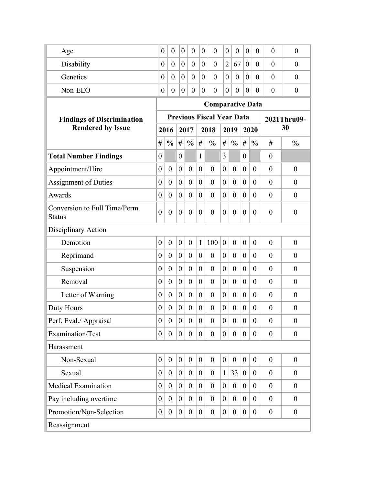| Age                                           | $\theta$         | $\overline{0}$   | $\overline{0}$   | $\overline{0}$   | $\overline{0}$   | $\overline{0}$                   | $\overline{0}$   | $\overline{0}$   | $\overline{0}$   | $\theta$         | $\overline{0}$   | $\theta$         |  |
|-----------------------------------------------|------------------|------------------|------------------|------------------|------------------|----------------------------------|------------------|------------------|------------------|------------------|------------------|------------------|--|
| Disability                                    | $\theta$         | $\overline{0}$   | $\overline{0}$   | $\boldsymbol{0}$ | $\overline{0}$   | $\overline{0}$                   | $\overline{2}$   | 67               | $\overline{0}$   | $\theta$         | $\overline{0}$   | $\theta$         |  |
| Genetics                                      | 0                | $\overline{0}$   | $\overline{0}$   | $\overline{0}$   | $\theta$         | $\overline{0}$                   | $\theta$         | $\theta$         | $\overline{0}$   | $\theta$         | $\theta$         | $\theta$         |  |
| Non-EEO                                       | 0                | $\overline{0}$   | $\overline{0}$   | $\boldsymbol{0}$ | $\theta$         | $\boldsymbol{0}$                 | $\theta$         | $\overline{0}$   | $\overline{0}$   | $\theta$         | $\overline{0}$   | $\theta$         |  |
|                                               |                  |                  |                  |                  |                  | <b>Comparative Data</b>          |                  |                  |                  |                  |                  |                  |  |
| <b>Findings of Discrimination</b>             |                  |                  |                  |                  |                  | <b>Previous Fiscal Year Data</b> |                  |                  |                  |                  | 2021Thru09-      |                  |  |
| <b>Rendered by Issue</b>                      |                  | 2016             |                  | 2017             |                  | 2018                             |                  | 2019             |                  | 2020             | 30               |                  |  |
|                                               | #                | $\frac{0}{0}$    | #                | $\frac{0}{0}$    | #                | $\frac{0}{0}$                    |                  | $\frac{0}{0}$    | #                | $\frac{0}{0}$    | #                | $\frac{0}{0}$    |  |
| <b>Total Number Findings</b>                  | $\boldsymbol{0}$ |                  | $\overline{0}$   |                  | $\mathbf{1}$     |                                  | 3                |                  | $\boldsymbol{0}$ |                  | $\overline{0}$   |                  |  |
| Appointment/Hire                              | $\boldsymbol{0}$ | $\overline{0}$   | $\theta$         | $\theta$         | $\overline{0}$   | $\theta$                         | $\overline{0}$   | $\overline{0}$   | $\boldsymbol{0}$ | $\theta$         | $\theta$         | $\overline{0}$   |  |
| <b>Assignment of Duties</b>                   | $\boldsymbol{0}$ | $\theta$         | $\boldsymbol{0}$ | $\overline{0}$   | $\boldsymbol{0}$ | $\overline{0}$                   | $\boldsymbol{0}$ | $\theta$         | $\boldsymbol{0}$ | $\theta$         | $\overline{0}$   | $\theta$         |  |
| Awards                                        | $\overline{0}$   | $\theta$         | $\theta$         | $\overline{0}$   | $\overline{0}$   | $\overline{0}$                   | $\overline{0}$   | $\theta$         | $\theta$         | $\theta$         | $\overline{0}$   | $\theta$         |  |
| Conversion to Full Time/Perm<br><b>Status</b> | $\overline{0}$   | $\overline{0}$   | $\boldsymbol{0}$ | $\overline{0}$   | $\theta$         | $\overline{0}$                   | $\boldsymbol{0}$ | $\overline{0}$   | $\boldsymbol{0}$ | $\theta$         | $\overline{0}$   | $\boldsymbol{0}$ |  |
| Disciplinary Action                           |                  |                  |                  |                  |                  |                                  |                  |                  |                  |                  |                  |                  |  |
| Demotion                                      | $\boldsymbol{0}$ | $\boldsymbol{0}$ | $\boldsymbol{0}$ | $\overline{0}$   | $\mathbf{1}$     | 100                              | $\boldsymbol{0}$ | $\boldsymbol{0}$ | $\boldsymbol{0}$ | $\overline{0}$   | $\overline{0}$   | $\overline{0}$   |  |
| Reprimand                                     | $\boldsymbol{0}$ | $\theta$         | $\boldsymbol{0}$ | $\overline{0}$   | $\overline{0}$   | $\overline{0}$                   | $\overline{0}$   | $\theta$         | $\boldsymbol{0}$ | $\theta$         | $\theta$         | $\theta$         |  |
| Suspension                                    | $\boldsymbol{0}$ | $\theta$         | $\boldsymbol{0}$ | $\overline{0}$   | $\overline{0}$   | $\overline{0}$                   | $\boldsymbol{0}$ | $\theta$         | $\boldsymbol{0}$ | $\theta$         | $\theta$         | $\overline{0}$   |  |
| Removal                                       | $\theta$         | $\theta$         | $\theta$         | $\overline{0}$   | $\theta$         | $\overline{0}$                   | $\theta$         | $\theta$         | $\theta$         | $\overline{0}$   | $\theta$         | $\theta$         |  |
| Letter of Warning                             | $\theta$         | $\theta$         | $\theta$         | $\overline{0}$   | $\theta$         | $\theta$                         | $\theta$         | $\theta$         | $\theta$         | $\theta$         | $\overline{0}$   | $\overline{0}$   |  |
| Duty Hours                                    | $\overline{0}$   | $\theta$         | $\boldsymbol{0}$ | $\theta$         | $\boldsymbol{0}$ | $\theta$                         | $\boldsymbol{0}$ | $\theta$         | $\boldsymbol{0}$ | $\overline{0}$   | $\theta$         | $\theta$         |  |
| Perf. Eval./ Appraisal                        | $\boldsymbol{0}$ | $\overline{0}$   | $\boldsymbol{0}$ | $\overline{0}$   | $\overline{0}$   | $\overline{0}$                   | $\boldsymbol{0}$ | $\overline{0}$   | $\boldsymbol{0}$ | $\theta$         | $\overline{0}$   | $\boldsymbol{0}$ |  |
| Examination/Test                              | $\boldsymbol{0}$ | $\theta$         | $\overline{0}$   | $\boldsymbol{0}$ | $\overline{0}$   | $\overline{0}$                   | $\overline{0}$   | $\overline{0}$   | $\boldsymbol{0}$ | $\theta$         | $\theta$         | $\boldsymbol{0}$ |  |
| Harassment                                    |                  |                  |                  |                  |                  |                                  |                  |                  |                  |                  |                  |                  |  |
| Non-Sexual                                    | $\boldsymbol{0}$ | $\mathbf{0}$     | $\boldsymbol{0}$ | $\boldsymbol{0}$ | $\boldsymbol{0}$ | $\overline{0}$                   | $\boldsymbol{0}$ | $\boldsymbol{0}$ | $\boldsymbol{0}$ | $\boldsymbol{0}$ | $\overline{0}$   | $\theta$         |  |
| Sexual                                        | $\boldsymbol{0}$ | $\theta$         | $\boldsymbol{0}$ | $\theta$         | $\overline{0}$   | $\theta$                         | $\mathbf{1}$     | 33               | $\boldsymbol{0}$ | $\theta$         | $\theta$         | $\theta$         |  |
| <b>Medical Examination</b>                    | $\boldsymbol{0}$ | $\theta$         | $\boldsymbol{0}$ | $\theta$         | $\boldsymbol{0}$ | $\theta$                         | $\boldsymbol{0}$ | $\theta$         | $\boldsymbol{0}$ | $\theta$         | $\theta$         | $\overline{0}$   |  |
| Pay including overtime                        | $\boldsymbol{0}$ | $\theta$         | $\boldsymbol{0}$ | $\overline{0}$   | $\theta$         | $\theta$                         | $\boldsymbol{0}$ | $\theta$         | $\boldsymbol{0}$ | $\theta$         | $\theta$         | $\boldsymbol{0}$ |  |
| Promotion/Non-Selection                       | $\boldsymbol{0}$ | $\boldsymbol{0}$ | $\boldsymbol{0}$ | $\boldsymbol{0}$ | $\overline{0}$   | $\overline{0}$                   | $\overline{0}$   | $\overline{0}$   | $\boldsymbol{0}$ | $\theta$         | $\boldsymbol{0}$ | $\boldsymbol{0}$ |  |
| Reassignment                                  |                  |                  |                  |                  |                  |                                  |                  |                  |                  |                  |                  |                  |  |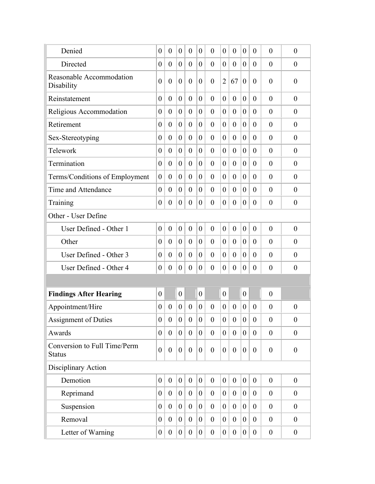| Denied                                        | $\boldsymbol{0}$ | $\theta$         | $\overline{0}$   | $\theta$         | $\theta$         | $\overline{0}$ | $\boldsymbol{0}$ | $\theta$         | $\boldsymbol{0}$ | $\theta$         | $\overline{0}$   | $\boldsymbol{0}$ |
|-----------------------------------------------|------------------|------------------|------------------|------------------|------------------|----------------|------------------|------------------|------------------|------------------|------------------|------------------|
| Directed                                      | $\boldsymbol{0}$ | $\boldsymbol{0}$ | $\boldsymbol{0}$ | $\boldsymbol{0}$ | $\overline{0}$   | $\theta$       | $\boldsymbol{0}$ | $\theta$         | $\boldsymbol{0}$ | $\theta$         | $\overline{0}$   | $\theta$         |
| Reasonable Accommodation<br>Disability        | $\overline{0}$   | $\boldsymbol{0}$ | $\boldsymbol{0}$ | $\theta$         | $\theta$         | $\overline{0}$ | $\overline{2}$   | 67               | $\boldsymbol{0}$ | $\theta$         | $\theta$         | $\boldsymbol{0}$ |
| Reinstatement                                 | $\boldsymbol{0}$ | $\overline{0}$   | $\theta$         | $\overline{0}$   | $\theta$         | $\theta$       | $\overline{0}$   | $\overline{0}$   | $\theta$         | $\theta$         | $\overline{0}$   | $\boldsymbol{0}$ |
| Religious Accommodation                       | $\boldsymbol{0}$ | $\boldsymbol{0}$ | $\boldsymbol{0}$ | $\overline{0}$   | $\boldsymbol{0}$ | $\theta$       | $\boldsymbol{0}$ | $\overline{0}$   | $\boldsymbol{0}$ | $\theta$         | $\theta$         | $\theta$         |
| Retirement                                    | $\boldsymbol{0}$ | $\overline{0}$   | $\theta$         | $\overline{0}$   | $\overline{0}$   | $\overline{0}$ | $\boldsymbol{0}$ | $\overline{0}$   | $\overline{0}$   | $\theta$         | $\overline{0}$   | $\boldsymbol{0}$ |
| Sex-Stereotyping                              | $\boldsymbol{0}$ | $\theta$         | $\boldsymbol{0}$ | $\overline{0}$   | $\overline{0}$   | $\overline{0}$ | $\boldsymbol{0}$ | $\overline{0}$   | $\boldsymbol{0}$ | $\theta$         | $\theta$         | $\theta$         |
| Telework                                      | $\boldsymbol{0}$ | $\boldsymbol{0}$ | $\boldsymbol{0}$ | $\overline{0}$   | $\theta$         | $\theta$       | $\boldsymbol{0}$ | $\theta$         | $\boldsymbol{0}$ | $\theta$         | $\theta$         | $\theta$         |
| Termination                                   | $\boldsymbol{0}$ | $\boldsymbol{0}$ | $\boldsymbol{0}$ | $\overline{0}$   | $\boldsymbol{0}$ | $\theta$       | $\boldsymbol{0}$ | $\overline{0}$   | $\boldsymbol{0}$ | $\theta$         | $\overline{0}$   | $\overline{0}$   |
| Terms/Conditions of Employment                | $\boldsymbol{0}$ | $\theta$         | $\overline{0}$   | $\overline{0}$   | $\theta$         | $\overline{0}$ | $\overline{0}$   | $\overline{0}$   | $\overline{0}$   | $\theta$         | $\theta$         | $\theta$         |
| Time and Attendance                           | $\overline{0}$   | $\overline{0}$   | $\theta$         | $\overline{0}$   | $\theta$         | $\overline{0}$ | $\overline{0}$   | $\overline{0}$   | $\theta$         | $\theta$         | $\theta$         | $\overline{0}$   |
| Training                                      | $\overline{0}$   | $\boldsymbol{0}$ | $\overline{0}$   | $\overline{0}$   | $\overline{0}$   | $\overline{0}$ | $\overline{0}$   | $\overline{0}$   | $\overline{0}$   | $\theta$         | $\theta$         | $\theta$         |
| Other - User Define                           |                  |                  |                  |                  |                  |                |                  |                  |                  |                  |                  |                  |
| User Defined - Other 1                        | $\boldsymbol{0}$ | $\boldsymbol{0}$ | $\boldsymbol{0}$ | $\boldsymbol{0}$ | $\theta$         | $\overline{0}$ | $\boldsymbol{0}$ | $\boldsymbol{0}$ | $\boldsymbol{0}$ | $\overline{0}$   | $\theta$         | $\boldsymbol{0}$ |
| Other                                         | $\boldsymbol{0}$ | $\theta$         | $\theta$         | $\overline{0}$   | $\theta$         | $\overline{0}$ | $\theta$         | $\overline{0}$   | $\theta$         | $\theta$         | $\overline{0}$   | $\boldsymbol{0}$ |
| User Defined - Other 3                        | $\boldsymbol{0}$ | $\boldsymbol{0}$ | $\boldsymbol{0}$ | $\overline{0}$   | $\theta$         | $\overline{0}$ | $\boldsymbol{0}$ | $\overline{0}$   | $\boldsymbol{0}$ | $\theta$         | $\theta$         | $\theta$         |
| User Defined - Other 4                        | 0                | $\boldsymbol{0}$ | $\boldsymbol{0}$ | $\overline{0}$   | $\boldsymbol{0}$ | $\overline{0}$ | $\boldsymbol{0}$ | $\overline{0}$   | $\boldsymbol{0}$ | $\theta$         | $\theta$         | $\theta$         |
|                                               |                  |                  |                  |                  |                  |                |                  |                  |                  |                  |                  |                  |
| <b>Findings After Hearing</b>                 | $\boldsymbol{0}$ |                  | $\boldsymbol{0}$ |                  | $\boldsymbol{0}$ |                | $\boldsymbol{0}$ |                  | $\boldsymbol{0}$ |                  | $\boldsymbol{0}$ |                  |
| Appointment/Hire                              | $\boldsymbol{0}$ | $\boldsymbol{0}$ | $\boldsymbol{0}$ | $\overline{0}$   | $\theta$         | $\overline{0}$ | $\boldsymbol{0}$ | $\overline{0}$   | $\boldsymbol{0}$ | $\theta$         | $\theta$         | $\boldsymbol{0}$ |
| <b>Assignment of Duties</b>                   | $\overline{0}$   | $\boldsymbol{0}$ | $\boldsymbol{0}$ | $\boldsymbol{0}$ | $\boldsymbol{0}$ | $\overline{0}$ | $\mathbf{0}$     | $\boldsymbol{0}$ | $\overline{0}$   | $\boldsymbol{0}$ | $\boldsymbol{0}$ | $\boldsymbol{0}$ |
| Awards                                        | $\overline{0}$   | $\mathbf{0}$     | $\overline{0}$   | $\overline{0}$   | $\overline{0}$   | $\overline{0}$ | $\overline{0}$   | $\mathbf{0}$     | $\overline{0}$   | $\mathbf{0}$     | $\boldsymbol{0}$ | $\boldsymbol{0}$ |
| Conversion to Full Time/Perm<br><b>Status</b> | $\boldsymbol{0}$ | $\boldsymbol{0}$ | $\boldsymbol{0}$ | $\boldsymbol{0}$ | $\boldsymbol{0}$ | $\overline{0}$ | $\boldsymbol{0}$ | $\overline{0}$   | $\boldsymbol{0}$ | $\theta$         | $\overline{0}$   | $\boldsymbol{0}$ |
| Disciplinary Action                           |                  |                  |                  |                  |                  |                |                  |                  |                  |                  |                  |                  |
| Demotion                                      | $\overline{0}$   | $\boldsymbol{0}$ | $\overline{0}$   | $\overline{0}$   | $\boldsymbol{0}$ | $\overline{0}$ | $\boldsymbol{0}$ | $\mathbf{0}$     | $\boldsymbol{0}$ | $\mathbf{0}$     | $\theta$         | $\boldsymbol{0}$ |
| Reprimand                                     | $\overline{0}$   | $\overline{0}$   | $\theta$         | $\overline{0}$   | $\overline{0}$   | $\overline{0}$ | $\theta$         | $\overline{0}$   | $\overline{0}$   | $\theta$         | $\theta$         | $\overline{0}$   |
| Suspension                                    | $\overline{0}$   | $\overline{0}$   | $\overline{0}$   | $\overline{0}$   | $\overline{0}$   | $\overline{0}$ | $\overline{0}$   | $\overline{0}$   | $\overline{0}$   | $\theta$         | $\mathbf{0}$     | $\boldsymbol{0}$ |
| Removal                                       | $\boldsymbol{0}$ | $\theta$         | $\overline{0}$   | $\overline{0}$   | $\overline{0}$   | $\overline{0}$ | $\boldsymbol{0}$ | $\theta$         | $\boldsymbol{0}$ | $\theta$         | $\overline{0}$   | $\overline{0}$   |
| Letter of Warning                             | $\boldsymbol{0}$ | $\boldsymbol{0}$ | $\overline{0}$   | $\boldsymbol{0}$ | $\boldsymbol{0}$ | $\overline{0}$ | $\boldsymbol{0}$ | $\boldsymbol{0}$ | $\overline{0}$   | $\overline{0}$   | $\boldsymbol{0}$ | $\boldsymbol{0}$ |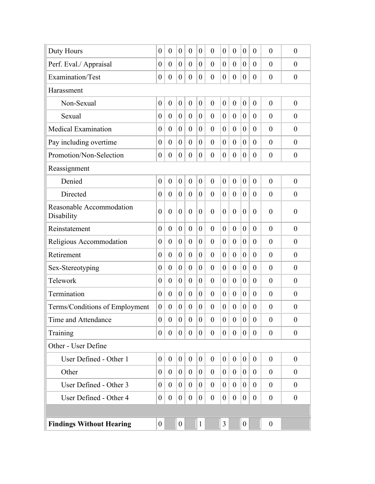| Duty Hours                             | $\overline{0}$   | $\overline{0}$   | $\boldsymbol{0}$ | $\theta$         | $\theta$         | $\overline{0}$ | $\theta$         | $\overline{0}$   | $\overline{0}$   | $\theta$         | $\theta$         | $\theta$         |
|----------------------------------------|------------------|------------------|------------------|------------------|------------------|----------------|------------------|------------------|------------------|------------------|------------------|------------------|
| Perf. Eval./ Appraisal                 | $\boldsymbol{0}$ | $\theta$         | $\boldsymbol{0}$ | $\theta$         | $\overline{0}$   | $\theta$       | $\theta$         | $\overline{0}$   | $\boldsymbol{0}$ | $\theta$         | $\theta$         | $\theta$         |
| Examination/Test                       | $\boldsymbol{0}$ | $\boldsymbol{0}$ | $\boldsymbol{0}$ | $\overline{0}$   | $\boldsymbol{0}$ | $\theta$       | $\theta$         | $\overline{0}$   | $\boldsymbol{0}$ | $\theta$         | $\theta$         | $\theta$         |
| Harassment                             |                  |                  |                  |                  |                  |                |                  |                  |                  |                  |                  |                  |
| Non-Sexual                             | $\overline{0}$   | $\overline{0}$   | $\boldsymbol{0}$ | $\overline{0}$   | $\overline{0}$   | $\overline{0}$ | $\overline{0}$   | $\overline{0}$   | $\overline{0}$   | $\overline{0}$   | $\overline{0}$   | $\overline{0}$   |
| Sexual                                 | $\overline{0}$   | $\overline{0}$   | $\theta$         | $\overline{0}$   | $\theta$         | $\theta$       | $\theta$         | $\overline{0}$   | $\theta$         | $\theta$         | $\overline{0}$   | $\theta$         |
| <b>Medical Examination</b>             | $\overline{0}$   | $\theta$         | $\theta$         | $\theta$         | $\theta$         | $\theta$       | $\theta$         | $\theta$         | $\overline{0}$   | $\theta$         | $\theta$         | $\theta$         |
| Pay including overtime                 | $\overline{0}$   | $\theta$         | $\theta$         | $\overline{0}$   | $\overline{0}$   | $\theta$       | $\overline{0}$   | $\overline{0}$   | $\theta$         | $\theta$         | $\theta$         | $\overline{0}$   |
| Promotion/Non-Selection                | $\boldsymbol{0}$ | $\theta$         | $\boldsymbol{0}$ | $\theta$         | $\overline{0}$   | $\overline{0}$ | $\overline{0}$   | $\overline{0}$   | $\overline{0}$   | $\theta$         | $\theta$         | $\theta$         |
| Reassignment                           |                  |                  |                  |                  |                  |                |                  |                  |                  |                  |                  |                  |
| Denied                                 | $\overline{0}$   | $\overline{0}$   | $\boldsymbol{0}$ | $\overline{0}$   | $\overline{0}$   | $\overline{0}$ | $\theta$         | $\overline{0}$   | $\boldsymbol{0}$ | $\overline{0}$   | $\theta$         | $\theta$         |
| Directed                               | $\overline{0}$   | $\theta$         | $\theta$         | $\theta$         | $\theta$         | $\theta$       | $\theta$         | $\theta$         | $\theta$         | $\theta$         | $\theta$         | $\theta$         |
| Reasonable Accommodation<br>Disability | $\overline{0}$   | $\overline{0}$   | $\boldsymbol{0}$ | $\overline{0}$   | $\overline{0}$   | $\overline{0}$ | $\overline{0}$   | $\overline{0}$   | $\boldsymbol{0}$ | $\theta$         | $\overline{0}$   | $\boldsymbol{0}$ |
| Reinstatement                          | $\boldsymbol{0}$ | $\overline{0}$   | $\theta$         | $\theta$         | $\overline{0}$   | $\overline{0}$ | $\theta$         | $\overline{0}$   | $\theta$         | $\theta$         | $\theta$         | $\theta$         |
| Religious Accommodation                | $\boldsymbol{0}$ | $\overline{0}$   | $\theta$         | $\overline{0}$   | $\overline{0}$   | $\overline{0}$ | $\theta$         | $\overline{0}$   | $\overline{0}$   | $\theta$         | $\theta$         | $\theta$         |
| Retirement                             | $\boldsymbol{0}$ | $\overline{0}$   | $\boldsymbol{0}$ | $\overline{0}$   | $\overline{0}$   | $\overline{0}$ | $\boldsymbol{0}$ | $\overline{0}$   | $\boldsymbol{0}$ | $\overline{0}$   | $\theta$         | $\theta$         |
| Sex-Stereotyping                       | $\boldsymbol{0}$ | $\theta$         | $\theta$         | $\overline{0}$   | $\theta$         | $\theta$       | $\theta$         | $\theta$         | $\overline{0}$   | $\theta$         | $\theta$         | $\theta$         |
| Telework                               | $\overline{0}$   | $\overline{0}$   | $\theta$         | $\overline{0}$   | $\theta$         | $\theta$       | $\theta$         | $\theta$         | $\boldsymbol{0}$ | $\theta$         | $\theta$         | $\overline{0}$   |
| Termination                            | $\overline{0}$   | $\theta$         | $\theta$         | $\overline{0}$   | $\theta$         | $\theta$       | $\theta$         | $\theta$         | $\overline{0}$   | $\theta$         | $\theta$         | $\theta$         |
| Terms/Conditions of Employment         | $\theta$         | $\theta$         | $\boldsymbol{0}$ | $\theta$         | $\overline{0}$   | $\overline{0}$ | $\theta$         | $\boldsymbol{0}$ | $\boldsymbol{0}$ | $\theta$         | $\theta$         | $\boldsymbol{0}$ |
| Time and Attendance                    | $\boldsymbol{0}$ | $\overline{0}$   | 0 <sup>1</sup>   | $\overline{0}$   | $\mathbf{0}$     | $\theta$       | $\theta$         | $\boldsymbol{0}$ | 0 <sup>1</sup>   | $\boldsymbol{0}$ | $\boldsymbol{0}$ | $\theta$         |
| Training                               | $\overline{0}$   | $\overline{0}$   | $\overline{0}$   | $\overline{0}$   | $\overline{0}$   | $\theta$       | $\overline{0}$   | $\overline{0}$   | $\overline{0}$   | $\overline{0}$   | $\mathbf{0}$     | $\boldsymbol{0}$ |
| Other - User Define                    |                  |                  |                  |                  |                  |                |                  |                  |                  |                  |                  |                  |
| User Defined - Other 1                 | $\boldsymbol{0}$ | $\theta$         | $\overline{0}$   | $\overline{0}$   | $\overline{0}$   | $\mathbf{0}$   | $\boldsymbol{0}$ | $\theta$         | $\overline{0}$   | $\overline{0}$   | $\theta$         | $\boldsymbol{0}$ |
| Other                                  | $\theta$         | $\overline{0}$   | $\mathbf{0}$     | $\overline{0}$   | $\theta$         | $\theta$       | $\overline{0}$   | $\overline{0}$   | $\overline{0}$   | $\overline{0}$   | $\overline{0}$   | $\overline{0}$   |
| User Defined - Other 3                 | $\theta$         | $\theta$         | $\overline{0}$   | $\overline{0}$   | $\theta$         | $\overline{0}$ | $\overline{0}$   | $\theta$         | $\theta$         | $\overline{0}$   | $\theta$         | $\theta$         |
| User Defined - Other 4                 | $\boldsymbol{0}$ | $\boldsymbol{0}$ | $\overline{0}$   | $\boldsymbol{0}$ | $\boldsymbol{0}$ | $\overline{0}$ | $\boldsymbol{0}$ | $\boldsymbol{0}$ | $\boldsymbol{0}$ | $\overline{0}$   | $\boldsymbol{0}$ | $\boldsymbol{0}$ |
|                                        |                  |                  |                  |                  |                  |                |                  |                  |                  |                  |                  |                  |
| <b>Findings Without Hearing</b>        | $\boldsymbol{0}$ |                  | $\boldsymbol{0}$ |                  | $\mathbf{1}$     |                | $\overline{3}$   |                  | $\boldsymbol{0}$ |                  | $\boldsymbol{0}$ |                  |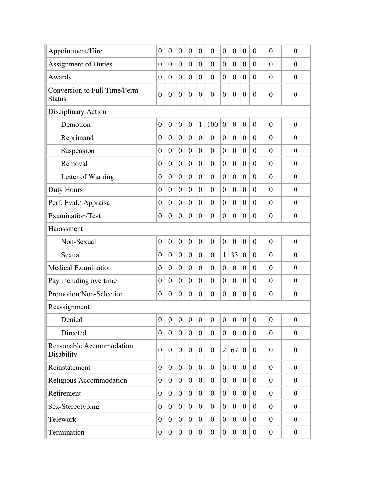| Appointment/Hire                              | $\boldsymbol{0}$ | $\overline{0}$   | $\boldsymbol{0}$ | $\theta$         | $\overline{0}$   | $\overline{0}$   | $\boldsymbol{0}$ | $\theta$         | $\overline{0}$   | $\theta$         | $\overline{0}$   | $\boldsymbol{0}$ |
|-----------------------------------------------|------------------|------------------|------------------|------------------|------------------|------------------|------------------|------------------|------------------|------------------|------------------|------------------|
| <b>Assignment of Duties</b>                   | $\boldsymbol{0}$ | $\overline{0}$   | $\boldsymbol{0}$ | $\overline{0}$   | $\overline{0}$   | $\overline{0}$   | $\theta$         | $\overline{0}$   | $\boldsymbol{0}$ | $\theta$         | $\theta$         | $\theta$         |
| Awards                                        | $\boldsymbol{0}$ | $\overline{0}$   | $\boldsymbol{0}$ | $\overline{0}$   | $\overline{0}$   | $\theta$         | $\theta$         | $\theta$         | $\overline{0}$   | $\theta$         | $\theta$         | $\theta$         |
| Conversion to Full Time/Perm<br><b>Status</b> | $\overline{0}$   | $\boldsymbol{0}$ | $\boldsymbol{0}$ | $\overline{0}$   | $\boldsymbol{0}$ | $\overline{0}$   | $\boldsymbol{0}$ | $\boldsymbol{0}$ | $\boldsymbol{0}$ | $\overline{0}$   | $\overline{0}$   | $\boldsymbol{0}$ |
| Disciplinary Action                           |                  |                  |                  |                  |                  |                  |                  |                  |                  |                  |                  |                  |
| Demotion                                      | $\boldsymbol{0}$ | $\boldsymbol{0}$ | $\boldsymbol{0}$ | $\overline{0}$   | $\mathbf{1}$     | 100              | $\boldsymbol{0}$ | $\boldsymbol{0}$ | $\boldsymbol{0}$ | $\overline{0}$   | $\overline{0}$   | $\boldsymbol{0}$ |
| Reprimand                                     | $\boldsymbol{0}$ | $\overline{0}$   | $\boldsymbol{0}$ | $\overline{0}$   | $\overline{0}$   | $\overline{0}$   | $\overline{0}$   | $\overline{0}$   | $\boldsymbol{0}$ | $\theta$         | $\theta$         | $\theta$         |
| Suspension                                    | $\boldsymbol{0}$ | $\theta$         | $\boldsymbol{0}$ | $\overline{0}$   | $\theta$         | $\overline{0}$   | $\theta$         | $\theta$         | $\boldsymbol{0}$ | $\theta$         | $\theta$         | $\theta$         |
| Removal                                       | $\overline{0}$   | $\overline{0}$   | $\theta$         | $\overline{0}$   | $\overline{0}$   | $\overline{0}$   | $\overline{0}$   | $\overline{0}$   | $\theta$         | $\overline{0}$   | $\overline{0}$   | $\overline{0}$   |
| Letter of Warning                             | $\boldsymbol{0}$ | $\theta$         | $\theta$         | $\theta$         | $\theta$         | $\overline{0}$   | $\overline{0}$   | $\overline{0}$   | $\overline{0}$   | $\theta$         | $\overline{0}$   | $\theta$         |
| Duty Hours                                    | $\overline{0}$   | $\overline{0}$   | $\overline{0}$   | $\overline{0}$   | $\overline{0}$   | $\theta$         | $\overline{0}$   | $\overline{0}$   | $\theta$         | $\theta$         | $\overline{0}$   | $\boldsymbol{0}$ |
| Perf. Eval./ Appraisal                        | $\boldsymbol{0}$ | $\overline{0}$   | $\theta$         | $\theta$         | $\overline{0}$   | $\theta$         | $\overline{0}$   | $\overline{0}$   | $\overline{0}$   | $\theta$         | $\theta$         | $\theta$         |
| Examination/Test                              | $\boldsymbol{0}$ | $\overline{0}$   | $\theta$         | $\overline{0}$   | $\overline{0}$   | $\theta$         | $\overline{0}$   | $\overline{0}$   | $\theta$         | $\theta$         | $\theta$         | $\overline{0}$   |
| Harassment                                    |                  |                  |                  |                  |                  |                  |                  |                  |                  |                  |                  |                  |
| Non-Sexual                                    | $\boldsymbol{0}$ | $\overline{0}$   | $\boldsymbol{0}$ | $\overline{0}$   | $\overline{0}$   | $\overline{0}$   | $\boldsymbol{0}$ | $\overline{0}$   | $\boldsymbol{0}$ | $\boldsymbol{0}$ | $\overline{0}$   | $\boldsymbol{0}$ |
| Sexual                                        | $\boldsymbol{0}$ | $\overline{0}$   | $\boldsymbol{0}$ | $\overline{0}$   | $\overline{0}$   | $\overline{0}$   | $\mathbf{1}$     | 33               | $\boldsymbol{0}$ | $\overline{0}$   | $\theta$         | $\overline{0}$   |
| <b>Medical Examination</b>                    | $\boldsymbol{0}$ | $\theta$         | $\boldsymbol{0}$ | $\overline{0}$   | $\theta$         | $\theta$         | $\theta$         | $\theta$         | $\boldsymbol{0}$ | $\theta$         | $\theta$         | $\overline{0}$   |
| Pay including overtime                        | $\boldsymbol{0}$ | $\overline{0}$   | $\theta$         | $\theta$         | $\overline{0}$   | $\theta$         | $\overline{0}$   | $\overline{0}$   | $\boldsymbol{0}$ | $\theta$         | $\theta$         | $\overline{0}$   |
| Promotion/Non-Selection                       | $\boldsymbol{0}$ | $\theta$         | $\boldsymbol{0}$ | $\theta$         | $\theta$         | $\overline{0}$   | $\boldsymbol{0}$ | $\boldsymbol{0}$ | $\boldsymbol{0}$ | $\theta$         | $\theta$         | $\theta$         |
| Reassignment                                  |                  |                  |                  |                  |                  |                  |                  |                  |                  |                  |                  |                  |
| Denied                                        | $\boldsymbol{0}$ | $\overline{0}$   | $\overline{0}$   | $\boldsymbol{0}$ | $\overline{0}$   | $\boldsymbol{0}$ | $\boldsymbol{0}$ | $\theta$         | $\mathbf{0}$     | $\overline{0}$   | $\boldsymbol{0}$ | $\boldsymbol{0}$ |
| Directed                                      | $\overline{0}$   | $\overline{0}$   | $\overline{0}$   | $\mathbf{0}$     | $\overline{0}$   | $\theta$         | $\overline{0}$   | $\mathbf{0}$     | $\overline{0}$   | $\overline{0}$   | $\overline{0}$   | $\boldsymbol{0}$ |
| Reasonable Accommodation<br>Disability        | $\overline{0}$   | $\theta$         | $\overline{0}$   | $\theta$         | $\overline{0}$   | $\overline{0}$   | $\overline{2}$   | 67               | $\overline{0}$   | $\theta$         | $\overline{0}$   | $\boldsymbol{0}$ |
| Reinstatement                                 | $\overline{0}$   | $\theta$         | $\overline{0}$   | $\theta$         | $\theta$         | $\theta$         | $\overline{0}$   | $\theta$         | $\overline{0}$   | $\overline{0}$   | $\overline{0}$   | $\overline{0}$   |
| Religious Accommodation                       | $\overline{0}$   | $\theta$         | $\overline{0}$   | $\overline{0}$   | $\overline{0}$   | $\overline{0}$   | $\overline{0}$   | $\theta$         | $\theta$         | $\overline{0}$   | $\boldsymbol{0}$ | $\boldsymbol{0}$ |
| Retirement                                    | $\overline{0}$   | $\theta$         | $\overline{0}$   | $\overline{0}$   | $\overline{0}$   | $\theta$         | $\overline{0}$   | $\overline{0}$   | $\theta$         | $\theta$         | $\overline{0}$   | $\overline{0}$   |
| Sex-Stereotyping                              | $\boldsymbol{0}$ | $\theta$         | $\overline{0}$   | $\overline{0}$   | $\overline{0}$   | $\overline{0}$   | $\overline{0}$   | $\overline{0}$   | $\theta$         | $\theta$         | $\overline{0}$   | $\boldsymbol{0}$ |
| Telework                                      | $\boldsymbol{0}$ | $\overline{0}$   | $\overline{0}$   | $\theta$         | $\overline{0}$   | $\theta$         | $\boldsymbol{0}$ | $\theta$         | $\theta$         | $\theta$         | $\overline{0}$   | $\theta$         |
| Termination                                   | $\boldsymbol{0}$ | $\boldsymbol{0}$ | $\overline{0}$   | $\boldsymbol{0}$ | $\boldsymbol{0}$ | $\boldsymbol{0}$ | $\boldsymbol{0}$ | $\boldsymbol{0}$ | $\boldsymbol{0}$ | $\boldsymbol{0}$ | $\boldsymbol{0}$ | $\boldsymbol{0}$ |